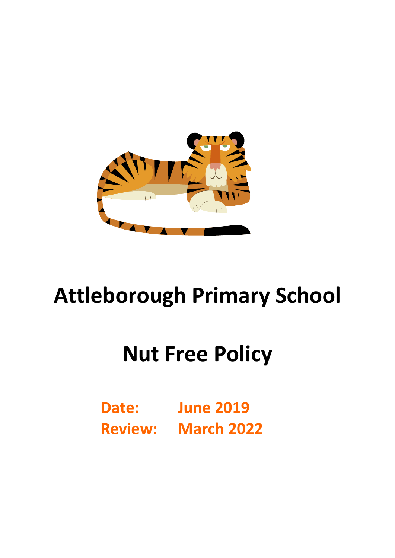

# **Attleborough Primary School**

## **Nut Free Policy**

**Date: June 2019 Review: March 2022**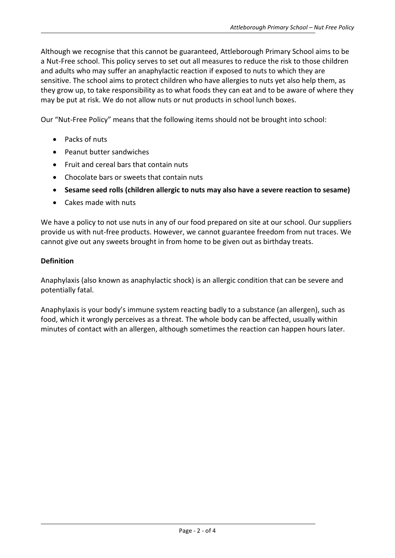Although we recognise that this cannot be guaranteed, Attleborough Primary School aims to be a Nut-Free school. This policy serves to set out all measures to reduce the risk to those children and adults who may suffer an anaphylactic reaction if exposed to nuts to which they are sensitive. The school aims to protect children who have allergies to nuts yet also help them, as they grow up, to take responsibility as to what foods they can eat and to be aware of where they may be put at risk. We do not allow nuts or nut products in school lunch boxes.

Our "Nut-Free Policy" means that the following items should not be brought into school:

- Packs of nuts
- Peanut butter sandwiches
- Fruit and cereal bars that contain nuts
- Chocolate bars or sweets that contain nuts
- **Sesame seed rolls (children allergic to nuts may also have a severe reaction to sesame)**
- Cakes made with nuts

We have a policy to not use nuts in any of our food prepared on site at our school. Our suppliers provide us with nut-free products. However, we cannot guarantee freedom from nut traces. We cannot give out any sweets brought in from home to be given out as birthday treats.

## **Definition**

Anaphylaxis (also known as anaphylactic shock) is an allergic condition that can be severe and potentially fatal.

Anaphylaxis is your body's immune system reacting badly to a substance (an allergen), such as food, which it wrongly perceives as a threat. The whole body can be affected, usually within minutes of contact with an allergen, although sometimes the reaction can happen hours later.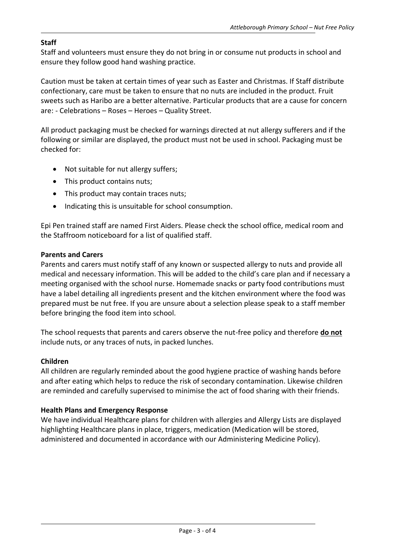## **Staff**

Staff and volunteers must ensure they do not bring in or consume nut products in school and ensure they follow good hand washing practice.

Caution must be taken at certain times of year such as Easter and Christmas. If Staff distribute confectionary, care must be taken to ensure that no nuts are included in the product. Fruit sweets such as Haribo are a better alternative. Particular products that are a cause for concern are: - Celebrations – Roses – Heroes – Quality Street.

All product packaging must be checked for warnings directed at nut allergy sufferers and if the following or similar are displayed, the product must not be used in school. Packaging must be checked for:

- Not suitable for nut allergy suffers;
- This product contains nuts;
- This product may contain traces nuts;
- Indicating this is unsuitable for school consumption.

Epi Pen trained staff are named First Aiders. Please check the school office, medical room and the Staffroom noticeboard for a list of qualified staff.

#### **Parents and Carers**

Parents and carers must notify staff of any known or suspected allergy to nuts and provide all medical and necessary information. This will be added to the child's care plan and if necessary a meeting organised with the school nurse. Homemade snacks or party food contributions must have a label detailing all ingredients present and the kitchen environment where the food was prepared must be nut free. If you are unsure about a selection please speak to a staff member before bringing the food item into school.

The school requests that parents and carers observe the nut-free policy and therefore **do not** include nuts, or any traces of nuts, in packed lunches.

## **Children**

All children are regularly reminded about the good hygiene practice of washing hands before and after eating which helps to reduce the risk of secondary contamination. Likewise children are reminded and carefully supervised to minimise the act of food sharing with their friends.

#### **Health Plans and Emergency Response**

We have individual Healthcare plans for children with allergies and Allergy Lists are displayed highlighting Healthcare plans in place, triggers, medication (Medication will be stored, administered and documented in accordance with our Administering Medicine Policy).